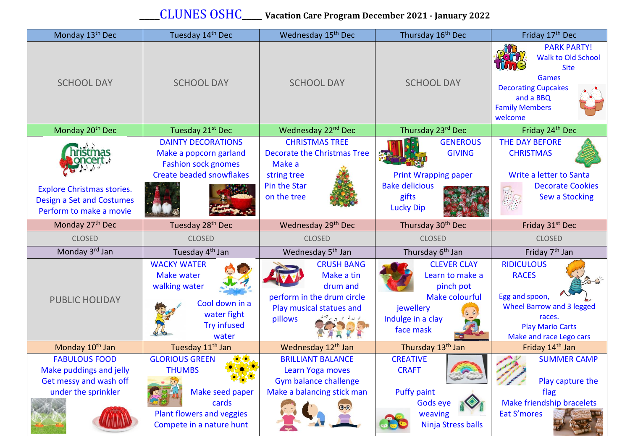\_\_\_\_CLUNES OSHC\_\_\_\_ **Vacation Care Program December <sup>2021</sup> - January <sup>2022</sup>**

| Monday 13 <sup>th</sup> Dec                                               | Tuesday 14th Dec                                                                                                         | Wednesday 15 <sup>th</sup> Dec                                                                                                                                                                                                                                                                                                                                                                                                                                                                                   | Thursday 16 <sup>th</sup> Dec                                                                                       | Friday 17 <sup>th</sup> Dec                                                                                                                                   |
|---------------------------------------------------------------------------|--------------------------------------------------------------------------------------------------------------------------|------------------------------------------------------------------------------------------------------------------------------------------------------------------------------------------------------------------------------------------------------------------------------------------------------------------------------------------------------------------------------------------------------------------------------------------------------------------------------------------------------------------|---------------------------------------------------------------------------------------------------------------------|---------------------------------------------------------------------------------------------------------------------------------------------------------------|
| <b>SCHOOL DAY</b>                                                         | <b>SCHOOL DAY</b>                                                                                                        | <b>SCHOOL DAY</b>                                                                                                                                                                                                                                                                                                                                                                                                                                                                                                | <b>SCHOOL DAY</b>                                                                                                   | <b>PARK PARTY!</b><br><b>Walk to Old School</b><br><b>Site</b><br><b>Games</b><br><b>Decorating Cupcakes</b><br>and a BBQ<br><b>Family Members</b><br>welcome |
| Monday 20 <sup>th</sup> Dec                                               | Tuesday 21 <sup>st</sup> Dec                                                                                             | Wednesday 22 <sup>nd</sup> Dec                                                                                                                                                                                                                                                                                                                                                                                                                                                                                   | Thursday 23rd Dec                                                                                                   | Friday 24th Dec                                                                                                                                               |
| hristmas<br>CA<br><b>Explore Christmas stories.</b>                       | <b>DAINTY DECORATIONS</b><br>Make a popcorn garland<br><b>Fashion sock gnomes</b><br><b>Create beaded snowflakes</b>     | <b>CHRISTMAS TREE</b><br><b>Decorate the Christmas Tree</b><br>Make a<br>string tree<br><b>Pin the Star</b>                                                                                                                                                                                                                                                                                                                                                                                                      | <b>GENEROUS</b><br><b>GIVING</b><br><b>Print Wrapping paper</b><br><b>Bake delicious</b>                            | THE DAY BEFORE<br><b>CHRISTMAS</b><br>Write a letter to Santa<br><b>Decorate Cookies</b>                                                                      |
| <b>Design a Set and Costumes</b><br>Perform to make a movie               |                                                                                                                          | on the tree                                                                                                                                                                                                                                                                                                                                                                                                                                                                                                      | gifts<br><b>Lucky Dip</b>                                                                                           | <b>Sew a Stocking</b>                                                                                                                                         |
| Monday 27 <sup>th</sup> Dec                                               | Tuesday 28th Dec                                                                                                         | Wednesday 29th Dec                                                                                                                                                                                                                                                                                                                                                                                                                                                                                               | Thursday 30 <sup>th</sup> Dec                                                                                       | Friday 31 <sup>st</sup> Dec                                                                                                                                   |
| <b>CLOSED</b>                                                             | <b>CLOSED</b>                                                                                                            | <b>CLOSED</b>                                                                                                                                                                                                                                                                                                                                                                                                                                                                                                    | <b>CLOSED</b>                                                                                                       | <b>CLOSED</b>                                                                                                                                                 |
| Monday 3rd Jan                                                            | Tuesday 4 <sup>th</sup> Jan                                                                                              | Wednesday 5 <sup>th</sup> Jan                                                                                                                                                                                                                                                                                                                                                                                                                                                                                    | Thursday 6 <sup>th</sup> Jan                                                                                        | Friday 7 <sup>th</sup> Jan                                                                                                                                    |
| <b>PUBLIC HOLIDAY</b>                                                     | <b>WACKY WATER</b><br><b>Make water</b><br>walking water<br>Cool down in a<br>water fight<br><b>Try infused</b><br>water | <b>CRUSH BANG</b><br>Make a tin<br>drum and<br>perform in the drum circle<br>Play musical statues and<br>$\frac{1}{2} \frac{1}{2} \frac{1}{2} \frac{1}{2} \frac{1}{2} \frac{1}{2} \frac{1}{2} \frac{1}{2} \frac{1}{2} \frac{1}{2} \frac{1}{2} \frac{1}{2} \frac{1}{2} \frac{1}{2} \frac{1}{2} \frac{1}{2} \frac{1}{2} \frac{1}{2} \frac{1}{2} \frac{1}{2} \frac{1}{2} \frac{1}{2} \frac{1}{2} \frac{1}{2} \frac{1}{2} \frac{1}{2} \frac{1}{2} \frac{1}{2} \frac{1}{2} \frac{1}{2} \frac{1}{2} \frac{$<br>pillows | <b>CLEVER CLAY</b><br>Learn to make a<br>pinch pot<br>Make colourful<br>jewellery<br>Indulge in a clay<br>face mask | <b>RIDICULOUS</b><br><b>RACES</b><br>Egg and spoon,<br><b>Wheel Barrow and 3 legged</b><br>races.<br><b>Play Mario Carts</b><br>Make and race Lego cars       |
| Monday 10 <sup>th</sup> Jan                                               | Tuesday 11 <sup>th</sup> Jan                                                                                             | Wednesday 12 <sup>th</sup> Jan                                                                                                                                                                                                                                                                                                                                                                                                                                                                                   | Thursday 13 <sup>th</sup> Jan                                                                                       | Friday 14 <sup>th</sup> Jan                                                                                                                                   |
| <b>FABULOUS FOOD</b><br>Make puddings and jelly<br>Get messy and wash off | <b>GLORIOUS GREEN</b><br>紫紫<br><b>THUMBS</b>                                                                             | <b>BRILLIANT BALANCE</b><br>Learn Yoga moves<br>Gym balance challenge                                                                                                                                                                                                                                                                                                                                                                                                                                            | <b>CREATIVE</b><br><b>CRAFT</b>                                                                                     | <b>SUMMER CAMP</b><br>Play capture the                                                                                                                        |
| under the sprinkler                                                       | Make seed paper<br>cards<br><b>Plant flowers and veggies</b><br>Compete in a nature hunt                                 | Make a balancing stick man                                                                                                                                                                                                                                                                                                                                                                                                                                                                                       | <b>Puffy paint</b><br>Gods eye<br>weaving<br>Ninja Stress balls                                                     | flag<br>Make friendship bracelets<br>Eat S'mores                                                                                                              |